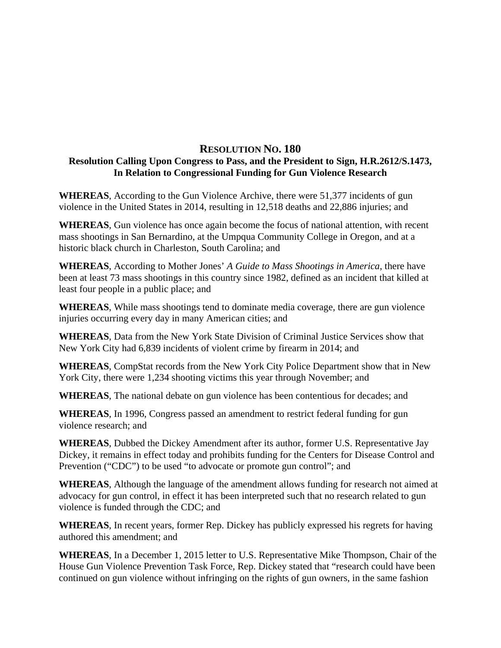## **RESOLUTION NO. 180 Resolution Calling Upon Congress to Pass, and the President to Sign, H.R.2612/S.1473, In Relation to Congressional Funding for Gun Violence Research**

**WHEREAS**, According to the Gun Violence Archive, there were 51,377 incidents of gun violence in the United States in 2014, resulting in 12,518 deaths and 22,886 injuries; and

**WHEREAS**, Gun violence has once again become the focus of national attention, with recent mass shootings in San Bernardino, at the Umpqua Community College in Oregon, and at a historic black church in Charleston, South Carolina; and

**WHEREAS**, According to Mother Jones' *A Guide to Mass Shootings in America*, there have been at least 73 mass shootings in this country since 1982, defined as an incident that killed at least four people in a public place; and

**WHEREAS**, While mass shootings tend to dominate media coverage, there are gun violence injuries occurring every day in many American cities; and

**WHEREAS**, Data from the New York State Division of Criminal Justice Services show that New York City had 6,839 incidents of violent crime by firearm in 2014; and

**WHEREAS**, CompStat records from the New York City Police Department show that in New York City, there were 1,234 shooting victims this year through November; and

**WHEREAS**, The national debate on gun violence has been contentious for decades; and

**WHEREAS**, In 1996, Congress passed an amendment to restrict federal funding for gun violence research; and

**WHEREAS**, Dubbed the Dickey Amendment after its author, former U.S. Representative Jay Dickey, it remains in effect today and prohibits funding for the Centers for Disease Control and Prevention ("CDC") to be used "to advocate or promote gun control"; and

**WHEREAS**, Although the language of the amendment allows funding for research not aimed at advocacy for gun control, in effect it has been interpreted such that no research related to gun violence is funded through the CDC; and

**WHEREAS**, In recent years, former Rep. Dickey has publicly expressed his regrets for having authored this amendment; and

**WHEREAS**, In a December 1, 2015 letter to U.S. Representative Mike Thompson, Chair of the House Gun Violence Prevention Task Force, Rep. Dickey stated that "research could have been continued on gun violence without infringing on the rights of gun owners, in the same fashion